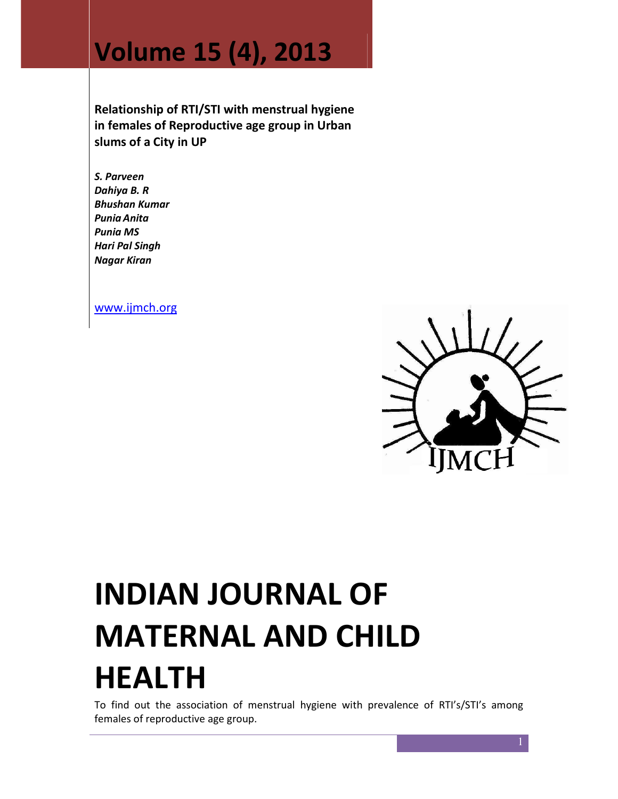# Volume 15 (4), 2013

Relationship of RTI/STI with menstrual hygiene in females of Reproductive age group in Urban slums of a City in UP

S. Parveen Dahiya B. R Bhushan Kumar Punia Anita Punia MS Hari Pal Singh Nagar Kiran

www.ijmch.org



# INDIAN JOURNAL OF MATERNAL AND CHILD HEALTH

To find out the association of menstrual hygiene with prevalence of RTI's/STI's among females of reproductive age group.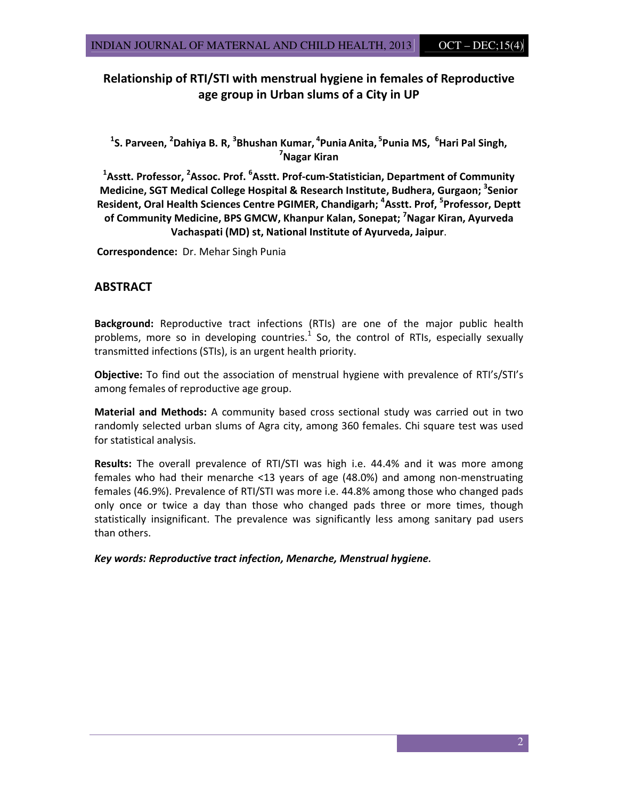# Relationship of RTI/STI with menstrual hygiene in females of Reproductive age group in Urban slums of a City in UP

<sup>1</sup>S. Parveen, <sup>2</sup>Dahiya B. R, <sup>3</sup>Bhushan Kumar, <sup>4</sup>Punia Anita, <sup>5</sup>Punia MS, <sup>6</sup>Hari Pal Singh, <sup>7</sup>Nagar Kiran

 $^1$ Asstt. Professor,  $^2$ Assoc. Prof.  $^6$ Asstt. Prof-cum-Statistician, Department of Community Medicine, SGT Medical College Hospital & Research Institute, Budhera, Gurgaon; <sup>3</sup>Senior Resident, Oral Health Sciences Centre PGIMER, Chandigarh; <sup>4</sup>Asstt. Prof, <sup>5</sup>Professor, Deptt of Community Medicine, BPS GMCW, Khanpur Kalan, Sonepat; <sup>7</sup>Nagar Kiran, Ayurveda Vachaspati (MD) st, National Institute of Ayurveda, Jaipur.

Correspondence: Dr. Mehar Singh Punia

# ABSTRACT

Background: Reproductive tract infections (RTIs) are one of the major public health problems, more so in developing countries. $<sup>1</sup>$  So, the control of RTIs, especially sexually</sup> transmitted infections (STIs), is an urgent health priority.

Objective: To find out the association of menstrual hygiene with prevalence of RTI's/STI's among females of reproductive age group.

Material and Methods: A community based cross sectional study was carried out in two randomly selected urban slums of Agra city, among 360 females. Chi square test was used for statistical analysis.

Results: The overall prevalence of RTI/STI was high i.e. 44.4% and it was more among females who had their menarche <13 years of age (48.0%) and among non-menstruating females (46.9%). Prevalence of RTI/STI was more i.e. 44.8% among those who changed pads only once or twice a day than those who changed pads three or more times, though statistically insignificant. The prevalence was significantly less among sanitary pad users than others.

Key words: Reproductive tract infection, Menarche, Menstrual hygiene.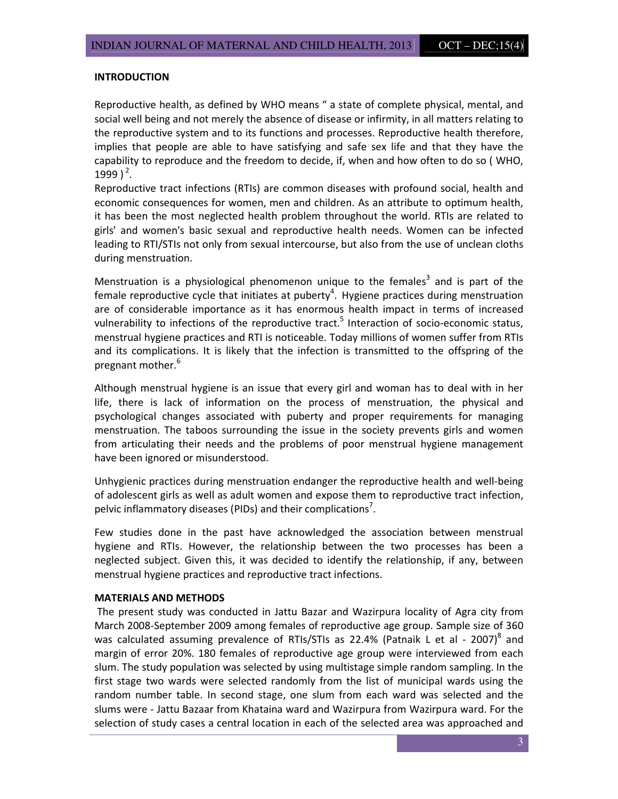## INTRODUCTION

Reproductive health, as defined by WHO means " a state of complete physical, mental, and social well being and not merely the absence of disease or infirmity, in all matters relating to the reproductive system and to its functions and processes. Reproductive health therefore, implies that people are able to have satisfying and safe sex life and that they have the capability to reproduce and the freedom to decide, if, when and how often to do so ( WHO, 1999 $)^2$ .

Reproductive tract infections (RTIs) are common diseases with profound social, health and economic consequences for women, men and children. As an attribute to optimum health, it has been the most neglected health problem throughout the world. RTIs are related to girls' and women's basic sexual and reproductive health needs. Women can be infected leading to RTI/STIs not only from sexual intercourse, but also from the use of unclean cloths during menstruation.

Menstruation is a physiological phenomenon unique to the females<sup>3</sup> and is part of the female reproductive cycle that initiates at puberty<sup>4</sup>. Hygiene practices during menstruation are of considerable importance as it has enormous health impact in terms of increased vulnerability to infections of the reproductive tract.<sup>5</sup> Interaction of socio-economic status, menstrual hygiene practices and RTI is noticeable. Today millions of women suffer from RTIs and its complications. It is likely that the infection is transmitted to the offspring of the pregnant mother.<sup>6</sup>

Although menstrual hygiene is an issue that every girl and woman has to deal with in her life, there is lack of information on the process of menstruation, the physical and psychological changes associated with puberty and proper requirements for managing menstruation. The taboos surrounding the issue in the society prevents girls and women from articulating their needs and the problems of poor menstrual hygiene management have been ignored or misunderstood.

Unhygienic practices during menstruation endanger the reproductive health and well-being of adolescent girls as well as adult women and expose them to reproductive tract infection, pelvic inflammatory diseases (PIDs) and their complications<sup>7</sup>.

Few studies done in the past have acknowledged the association between menstrual hygiene and RTIs. However, the relationship between the two processes has been a neglected subject. Given this, it was decided to identify the relationship, if any, between menstrual hygiene practices and reproductive tract infections.

#### MATERIALS AND METHODS

The present study was conducted in Jattu Bazar and Wazirpura locality of Agra city from March 2008-September 2009 among females of reproductive age group. Sample size of 360 was calculated assuming prevalence of RTIs/STIs as 22.4% (Patnaik L et al - 2007)<sup>8</sup> and margin of error 20%. 180 females of reproductive age group were interviewed from each slum. The study population was selected by using multistage simple random sampling. In the first stage two wards were selected randomly from the list of municipal wards using the random number table. In second stage, one slum from each ward was selected and the slums were - Jattu Bazaar from Khataina ward and Wazirpura from Wazirpura ward. For the selection of study cases a central location in each of the selected area was approached and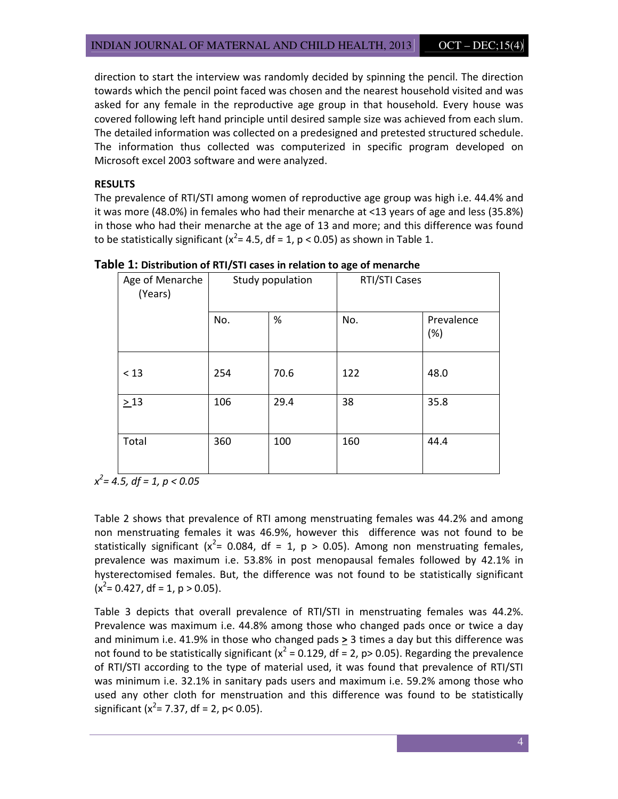direction to start the interview was randomly decided by spinning the pencil. The direction towards which the pencil point faced was chosen and the nearest household visited and was asked for any female in the reproductive age group in that household. Every house was covered following left hand principle until desired sample size was achieved from each slum. The detailed information was collected on a predesigned and pretested structured schedule. The information thus collected was computerized in specific program developed on Microsoft excel 2003 software and were analyzed.

# RESULTS

The prevalence of RTI/STI among women of reproductive age group was high i.e. 44.4% and it was more (48.0%) in females who had their menarche at <13 years of age and less (35.8%) in those who had their menarche at the age of 13 and more; and this difference was found to be statistically significant ( $x^2$ = 4.5, df = 1, p < 0.05) as shown in Table 1.

| Age of Menarche<br>(Years) | Study population |      | RTI/STI Cases |                   |  |
|----------------------------|------------------|------|---------------|-------------------|--|
|                            | No.              | $\%$ | No.           | Prevalence<br>(%) |  |
| < 13                       | 254              | 70.6 | 122           | 48.0              |  |
| $\geq$ 13                  | 106              | 29.4 | 38            | 35.8              |  |
| Total                      | 360              | 100  | 160           | 44.4              |  |

Table 1: Distribution of RTI/STI cases in relation to age of menarche

 $x^2 = 4.5$ , df = 1, p < 0.05

Table 2 shows that prevalence of RTI among menstruating females was 44.2% and among non menstruating females it was 46.9%, however this difference was not found to be statistically significant ( $x^2$ = 0.084, df = 1, p > 0.05). Among non menstruating females, prevalence was maximum i.e. 53.8% in post menopausal females followed by 42.1% in hysterectomised females. But, the difference was not found to be statistically significant  $(x^2 = 0.427, df = 1, p > 0.05)$ .

Table 3 depicts that overall prevalence of RTI/STI in menstruating females was 44.2%. Prevalence was maximum i.e. 44.8% among those who changed pads once or twice a day and minimum i.e. 41.9% in those who changed pads > 3 times a day but this difference was not found to be statistically significant ( $x^2$  = 0.129, df = 2, p> 0.05). Regarding the prevalence of RTI/STI according to the type of material used, it was found that prevalence of RTI/STI was minimum i.e. 32.1% in sanitary pads users and maximum i.e. 59.2% among those who used any other cloth for menstruation and this difference was found to be statistically significant ( $x^2$ = 7.37, df = 2, p< 0.05).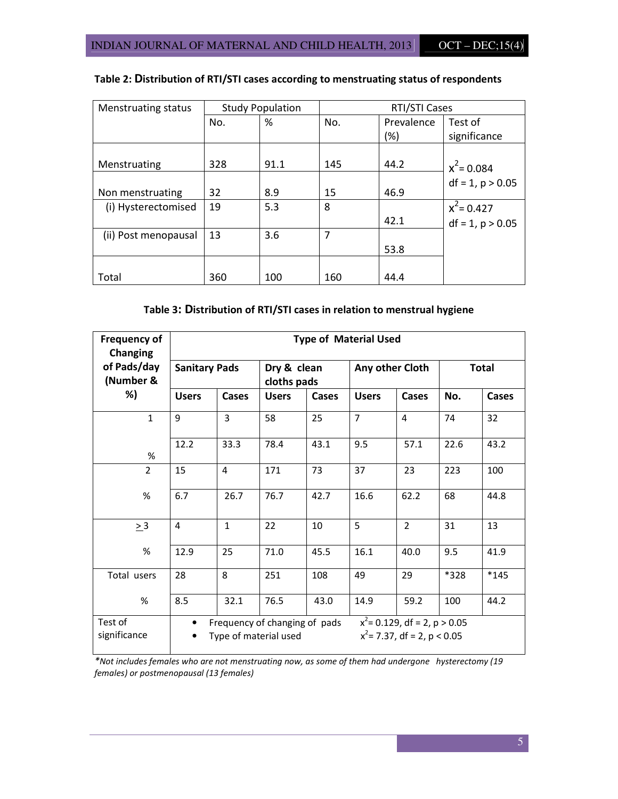| <b>Menstruating status</b> | <b>Study Population</b> |      | RTI/STI Cases |            |                    |  |
|----------------------------|-------------------------|------|---------------|------------|--------------------|--|
|                            | No.                     | %    | No.           | Prevalence | Test of            |  |
|                            |                         |      |               | $(\%)$     | significance       |  |
| Menstruating               | 328                     | 91.1 | 145           | 44.2       | $x^2$ = 0.084      |  |
| Non menstruating           | 32                      | 8.9  | 15            | 46.9       | $df = 1, p > 0.05$ |  |
| (i) Hysterectomised        | 19                      | 5.3  | 8             |            | $x^2$ = 0.427      |  |
|                            |                         |      |               | 42.1       | $df = 1, p > 0.05$ |  |
| (ii) Post menopausal       | 13                      | 3.6  | 7             |            |                    |  |
|                            |                         |      |               | 53.8       |                    |  |
|                            |                         |      |               |            |                    |  |
| Total                      | 360                     | 100  | 160           | 44.4       |                    |  |

# Table 2: Distribution of RTI/STI cases according to menstruating status of respondents

# Table 3: Distribution of RTI/STI cases in relation to menstrual hygiene

| <b>Frequency of</b><br>Changing | <b>Type of Material Used</b> |                |                            |                               |                 |                                                                   |              |        |
|---------------------------------|------------------------------|----------------|----------------------------|-------------------------------|-----------------|-------------------------------------------------------------------|--------------|--------|
| of Pads/day<br>(Number &        | <b>Sanitary Pads</b>         |                | Dry & clean<br>cloths pads |                               | Any other Cloth |                                                                   | <b>Total</b> |        |
| %)                              | <b>Users</b>                 | Cases          | <b>Users</b>               | Cases                         | <b>Users</b>    | Cases                                                             | No.          | Cases  |
| $\mathbf{1}$                    | 9                            | $\overline{3}$ | 58                         | 25                            | $\overline{7}$  | $\overline{4}$                                                    | 74           | 32     |
| %                               | 12.2                         | 33.3           | 78.4                       | 43.1                          | 9.5             | 57.1                                                              | 22.6         | 43.2   |
| $\overline{2}$                  | 15                           | 4              | 171                        | 73                            | 37              | 23                                                                | 223          | 100    |
| %                               | 6.7                          | 26.7           | 76.7                       | 42.7                          | 16.6            | 62.2                                                              | 68           | 44.8   |
| $\geq$ 3                        | 4                            | $\mathbf{1}$   | 22                         | 10                            | 5               | $\overline{2}$                                                    | 31           | 13     |
| %                               | 12.9                         | 25             | 71.0                       | 45.5                          | 16.1            | 40.0                                                              | 9.5          | 41.9   |
| Total users                     | 28                           | 8              | 251                        | 108                           | 49              | 29                                                                | *328         | $*145$ |
| %                               | 8.5                          | 32.1           | 76.5                       | 43.0                          | 14.9            | 59.2                                                              | 100          | 44.2   |
| Test of<br>significance         | $\bullet$                    |                | Type of material used      | Frequency of changing of pads |                 | $x^2$ = 0.129, df = 2, p > 0.05<br>$x^2$ = 7.37, df = 2, p < 0.05 |              |        |

\*Not includes females who are not menstruating now, as some of them had undergone hysterectomy (19 females) or postmenopausal (13 females)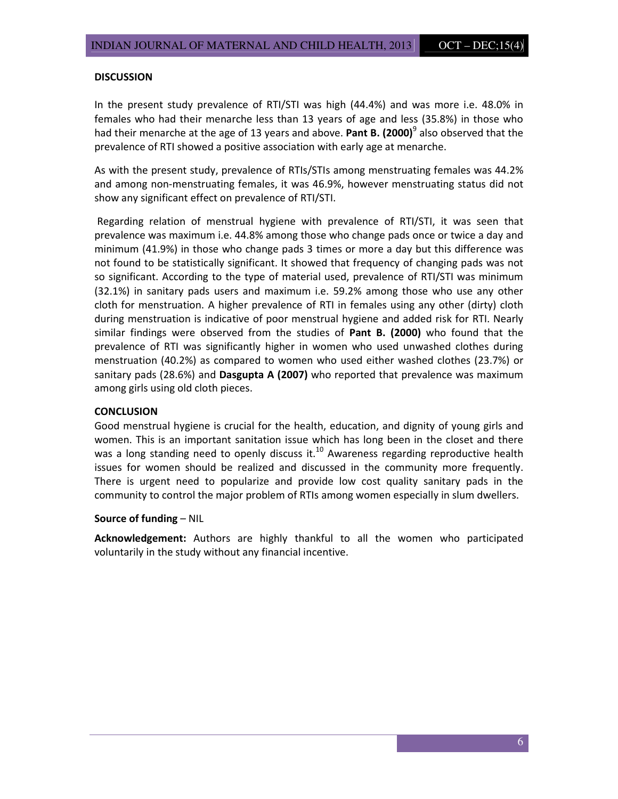#### **DISCUSSION**

In the present study prevalence of RTI/STI was high (44.4%) and was more i.e. 48.0% in females who had their menarche less than 13 years of age and less (35.8%) in those who had their menarche at the age of 13 years and above. Pant B. (2000)<sup>9</sup> also observed that the prevalence of RTI showed a positive association with early age at menarche.

As with the present study, prevalence of RTIs/STIs among menstruating females was 44.2% and among non-menstruating females, it was 46.9%, however menstruating status did not show any significant effect on prevalence of RTI/STI.

 Regarding relation of menstrual hygiene with prevalence of RTI/STI, it was seen that prevalence was maximum i.e. 44.8% among those who change pads once or twice a day and minimum (41.9%) in those who change pads 3 times or more a day but this difference was not found to be statistically significant. It showed that frequency of changing pads was not so significant. According to the type of material used, prevalence of RTI/STI was minimum (32.1%) in sanitary pads users and maximum i.e. 59.2% among those who use any other cloth for menstruation. A higher prevalence of RTI in females using any other (dirty) cloth during menstruation is indicative of poor menstrual hygiene and added risk for RTI. Nearly similar findings were observed from the studies of Pant B. (2000) who found that the prevalence of RTI was significantly higher in women who used unwashed clothes during menstruation (40.2%) as compared to women who used either washed clothes (23.7%) or sanitary pads (28.6%) and Dasgupta A (2007) who reported that prevalence was maximum among girls using old cloth pieces.

#### **CONCLUSION**

Good menstrual hygiene is crucial for the health, education, and dignity of young girls and women. This is an important sanitation issue which has long been in the closet and there was a long standing need to openly discuss it.<sup>10</sup> Awareness regarding reproductive health issues for women should be realized and discussed in the community more frequently. There is urgent need to popularize and provide low cost quality sanitary pads in the community to control the major problem of RTIs among women especially in slum dwellers.

#### Source of funding – NIL

Acknowledgement: Authors are highly thankful to all the women who participated voluntarily in the study without any financial incentive.